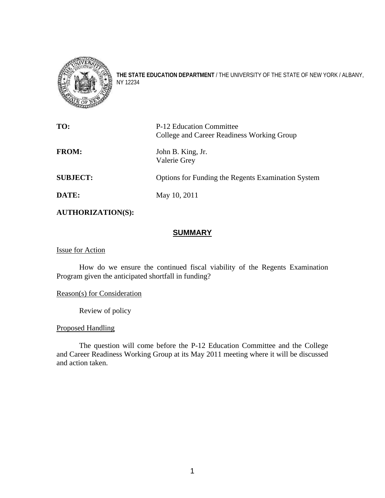

**THE STATE EDUCATION DEPARTMENT** / THE UNIVERSITY OF THE STATE OF NEW YORK / ALBANY, NY 12234

| TO:             | P-12 Education Committee<br>College and Career Readiness Working Group |
|-----------------|------------------------------------------------------------------------|
| <b>FROM:</b>    | John B. King, Jr.<br>Valerie Grey                                      |
| <b>SUBJECT:</b> | <b>Options for Funding the Regents Examination System</b>              |
| DATE:           | May 10, 2011                                                           |

**AUTHORIZATION(S):** 

# **SUMMARY**

Issue for Action

How do we ensure the continued fiscal viability of the Regents Examination Program given the anticipated shortfall in funding?

Reason(s) for Consideration

Review of policy

Proposed Handling

The question will come before the P-12 Education Committee and the College and Career Readiness Working Group at its May 2011 meeting where it will be discussed and action taken.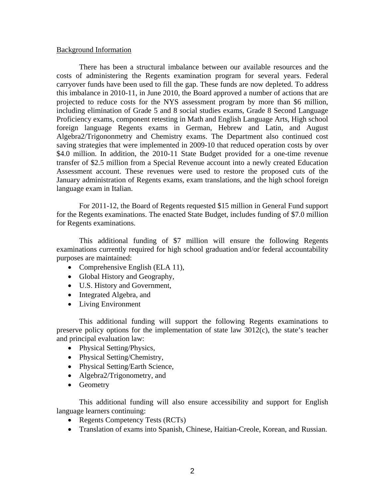### Background Information

 There has been a structural imbalance between our available resources and the costs of administering the Regents examination program for several years. Federal carryover funds have been used to fill the gap. These funds are now depleted. To address this imbalance in 2010-11, in June 2010, the Board approved a number of actions that are projected to reduce costs for the NYS assessment program by more than \$6 million, including elimination of Grade 5 and 8 social studies exams, Grade 8 Second Language Proficiency exams, component retesting in Math and English Language Arts, High school foreign language Regents exams in German, Hebrew and Latin, and August Algebra2/Trigononmetry and Chemistry exams. The Department also continued cost saving strategies that were implemented in 2009-10 that reduced operation costs by over \$4.0 million. In addition, the 2010-11 State Budget provided for a one-time revenue transfer of \$2.5 million from a Special Revenue account into a newly created Education Assessment account. These revenues were used to restore the proposed cuts of the January administration of Regents exams, exam translations, and the high school foreign language exam in Italian.

For 2011-12, the Board of Regents requested \$15 million in General Fund support for the Regents examinations. The enacted State Budget, includes funding of \$7.0 million for Regents examinations.

This additional funding of \$7 million will ensure the following Regents examinations currently required for high school graduation and/or federal accountability purposes are maintained:

- Comprehensive English (ELA 11),
- Global History and Geography,
- U.S. History and Government,
- Integrated Algebra, and
- Living Environment

This additional funding will support the following Regents examinations to preserve policy options for the implementation of state law 3012(c), the state's teacher and principal evaluation law:

- Physical Setting/Physics,
- Physical Setting/Chemistry,
- Physical Setting/Earth Science,
- Algebra2/Trigonometry, and
- Geometry

This additional funding will also ensure accessibility and support for English language learners continuing:

- Regents Competency Tests (RCTs)
- Translation of exams into Spanish, Chinese, Haitian-Creole, Korean, and Russian.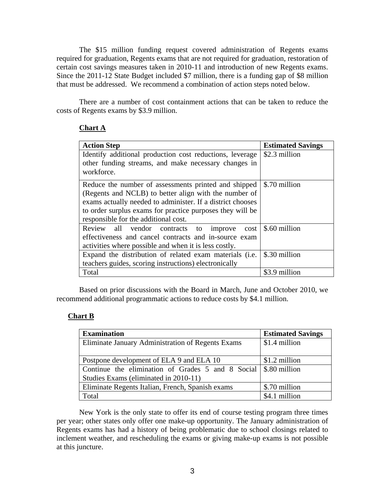The \$15 million funding request covered administration of Regents exams required for graduation, Regents exams that are not required for graduation, restoration of certain cost savings measures taken in 2010-11 and introduction of new Regents exams. Since the 2011-12 State Budget included \$7 million, there is a funding gap of \$8 million that must be addressed. We recommend a combination of action steps noted below.

 There are a number of cost containment actions that can be taken to reduce the costs of Regents exams by \$3.9 million.

## **Chart A**

| <b>Action Step</b>                                         | <b>Estimated Savings</b> |
|------------------------------------------------------------|--------------------------|
| Identify additional production cost reductions, leverage   | \$2.3 million            |
| other funding streams, and make necessary changes in       |                          |
| workforce.                                                 |                          |
| Reduce the number of assessments printed and shipped       | \$.70 million            |
| (Regents and NCLB) to better align with the number of      |                          |
| exams actually needed to administer. If a district chooses |                          |
| to order surplus exams for practice purposes they will be  |                          |
| responsible for the additional cost.                       |                          |
| Review all vendor contracts to<br>cost<br>improve          | \$.60 million            |
| effectiveness and cancel contracts and in-source exam      |                          |
| activities where possible and when it is less costly.      |                          |
| Expand the distribution of related exam materials (i.e.    | \$.30 million            |
| teachers guides, scoring instructions) electronically      |                          |
| Total                                                      | \$3.9 million            |

 Based on prior discussions with the Board in March, June and October 2010, we recommend additional programmatic actions to reduce costs by \$4.1 million.

# **Chart B**

| <b>Examination</b>                                | <b>Estimated Savings</b> |
|---------------------------------------------------|--------------------------|
| Eliminate January Administration of Regents Exams | \$1.4 million            |
|                                                   |                          |
| Postpone development of ELA 9 and ELA 10          | \$1.2 million            |
| Continue the elimination of Grades 5 and 8 Social | \$.80 million            |
| Studies Exams (eliminated in 2010-11)             |                          |
| Eliminate Regents Italian, French, Spanish exams  | \$.70 million            |
| Total                                             | \$4.1 million            |

 New York is the only state to offer its end of course testing program three times per year; other states only offer one make-up opportunity. The January administration of Regents exams has had a history of being problematic due to school closings related to inclement weather, and rescheduling the exams or giving make-up exams is not possible at this juncture.